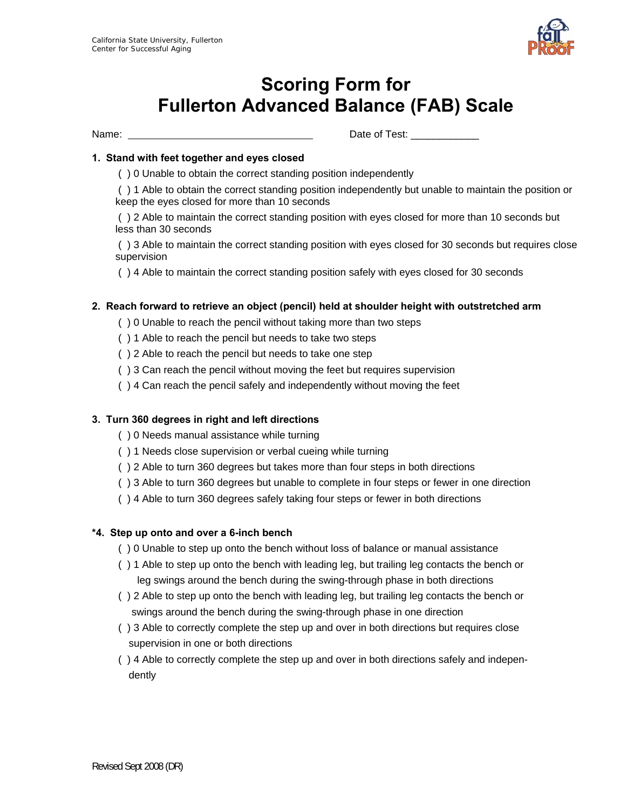

# **Scoring Form for Fullerton Advanced Balance (FAB) Scale**

Name:  $\blacksquare$  Date of Test:  $\blacksquare$ 

# **1. Stand with feet together and eyes closed**

( ) 0 Unable to obtain the correct standing position independently

 ( ) 1 Able to obtain the correct standing position independently but unable to maintain the position or keep the eyes closed for more than 10 seconds

 ( ) 2 Able to maintain the correct standing position with eyes closed for more than 10 seconds but less than 30 seconds

 ( ) 3 Able to maintain the correct standing position with eyes closed for 30 seconds but requires close supervision

( ) 4 Able to maintain the correct standing position safely with eyes closed for 30 seconds

# **2. Reach forward to retrieve an object (pencil) held at shoulder height with outstretched arm**

- ( ) 0 Unable to reach the pencil without taking more than two steps
- ( ) 1 Able to reach the pencil but needs to take two steps
- ( ) 2 Able to reach the pencil but needs to take one step
- ( ) 3 Can reach the pencil without moving the feet but requires supervision
- ( ) 4 Can reach the pencil safely and independently without moving the feet

# **3. Turn 360 degrees in right and left directions**

- ( ) 0 Needs manual assistance while turning
- ( ) 1 Needs close supervision or verbal cueing while turning
- ( ) 2 Able to turn 360 degrees but takes more than four steps in both directions
- ( ) 3 Able to turn 360 degrees but unable to complete in four steps or fewer in one direction
- ( ) 4 Able to turn 360 degrees safely taking four steps or fewer in both directions

#### **\*4. Step up onto and over a 6-inch bench**

- ( ) 0 Unable to step up onto the bench without loss of balance or manual assistance
- ( ) 1 Able to step up onto the bench with leading leg, but trailing leg contacts the bench or leg swings around the bench during the swing-through phase in both directions
- ( ) 2 Able to step up onto the bench with leading leg, but trailing leg contacts the bench or swings around the bench during the swing-through phase in one direction
- ( ) 3 Able to correctly complete the step up and over in both directions but requires close supervision in one or both directions
- ( ) 4 Able to correctly complete the step up and over in both directions safely and independently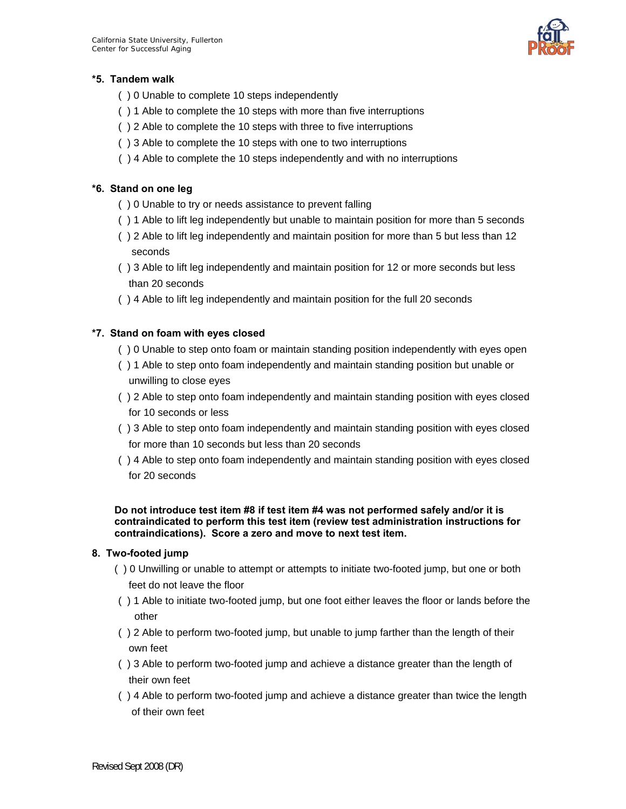

# **\*5. Tandem walk**

- ( ) 0 Unable to complete 10 steps independently
- ( ) 1 Able to complete the 10 steps with more than five interruptions
- ( ) 2 Able to complete the 10 steps with three to five interruptions
- ( ) 3 Able to complete the 10 steps with one to two interruptions
- ( ) 4 Able to complete the 10 steps independently and with no interruptions

# **\*6. Stand on one leg**

- ( ) 0 Unable to try or needs assistance to prevent falling
- ( ) 1 Able to lift leg independently but unable to maintain position for more than 5 seconds
- ( ) 2 Able to lift leg independently and maintain position for more than 5 but less than 12 seconds
- ( ) 3 Able to lift leg independently and maintain position for 12 or more seconds but less than 20 seconds
- ( ) 4 Able to lift leg independently and maintain position for the full 20 seconds

# **\*7. Stand on foam with eyes closed**

- ( ) 0 Unable to step onto foam or maintain standing position independently with eyes open
- ( ) 1 Able to step onto foam independently and maintain standing position but unable or unwilling to close eyes
- ( ) 2 Able to step onto foam independently and maintain standing position with eyes closed for 10 seconds or less
- ( ) 3 Able to step onto foam independently and maintain standing position with eyes closed for more than 10 seconds but less than 20 seconds
- ( ) 4 Able to step onto foam independently and maintain standing position with eyes closed for 20 seconds

**Do not introduce test item #8 if test item #4 was not performed safely and/or it is contraindicated to perform this test item (review test administration instructions for contraindications). Score a zero and move to next test item.** 

# **8. Two-footed jump**

- ( ) 0 Unwilling or unable to attempt or attempts to initiate two-footed jump, but one or both feet do not leave the floor
- ( ) 1 Able to initiate two-footed jump, but one foot either leaves the floor or lands before the other
- ( ) 2 Able to perform two-footed jump, but unable to jump farther than the length of their own feet
- ( ) 3 Able to perform two-footed jump and achieve a distance greater than the length of their own feet
- ( ) 4 Able to perform two-footed jump and achieve a distance greater than twice the length of their own feet